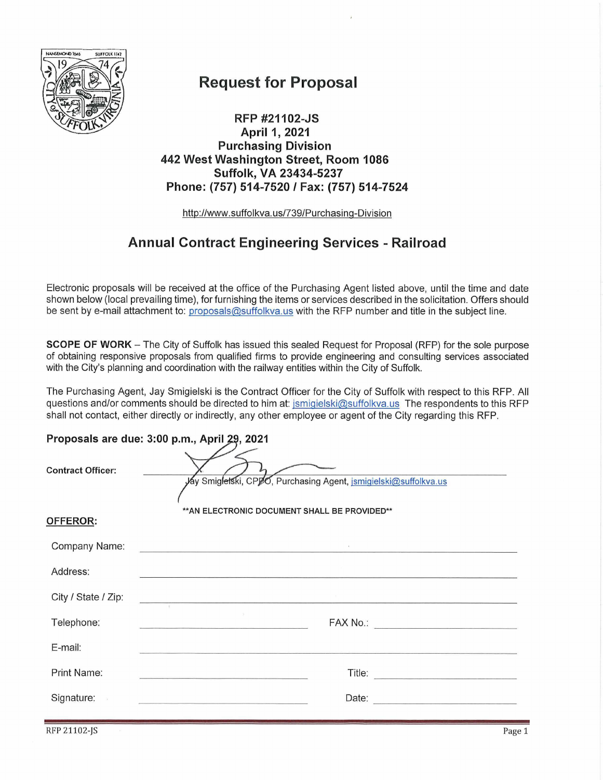

## **Request for Proposal**

RFP #21102-JS April 1, 2021 **Purchasing Division** 442 West Washington Street, Room 1086 Suffolk, VA 23434-5237 Phone: (757) 514-7520 / Fax: (757) 514-7524

http://www.suffolkva.us/739/Purchasing-Division

## **Annual Contract Engineering Services - Railroad**

Electronic proposals will be received at the office of the Purchasing Agent listed above, until the time and date shown below (local prevailing time), for furnishing the items or services described in the solicitation. Offers should be sent by e-mail attachment to: proposals@suffolkva.us with the RFP number and title in the subject line.

**SCOPE OF WORK** – The City of Suffolk has issued this sealed Request for Proposal (RFP) for the sole purpose of obtaining responsive proposals from qualified firms to provide engineering and consulting services associated with the City's planning and coordination with the railway entities within the City of Suffolk.

The Purchasing Agent, Jay Smigielski is the Contract Officer for the City of Suffolk with respect to this RFP. All questions and/or comments should be directed to him at: jsmigielski@suffolkva.us The respondents to this RFP shall not contact, either directly or indirectly, any other employee or agent of the City regarding this RFP.

#### Proposals are due: 3:00 p.m., April 29, 2021

| ** AN ELECTRONIC DOCUMENT SHALL BE PROVIDED**<br><b>OFFEROR:</b><br>Company Name:<br>the control of the control of the control of the control of the control of the control of<br>Address:<br>City / State / Zip:<br>$\overline{y}$<br>Telephone:<br>E-mail:<br><b>Print Name:</b><br>Title:<br>and the company of the company of the company of the company of the company of the company of the company of the company of the company of the company of the company of the company of the company of the company of the comp | <b>Contract Officer:</b> | yay Smigletski, CPpO, Purchasing Agent, jsmigielski@suffolkva.us |  |  |  |
|--------------------------------------------------------------------------------------------------------------------------------------------------------------------------------------------------------------------------------------------------------------------------------------------------------------------------------------------------------------------------------------------------------------------------------------------------------------------------------------------------------------------------------|--------------------------|------------------------------------------------------------------|--|--|--|
|                                                                                                                                                                                                                                                                                                                                                                                                                                                                                                                                |                          |                                                                  |  |  |  |
|                                                                                                                                                                                                                                                                                                                                                                                                                                                                                                                                |                          |                                                                  |  |  |  |
|                                                                                                                                                                                                                                                                                                                                                                                                                                                                                                                                |                          |                                                                  |  |  |  |
|                                                                                                                                                                                                                                                                                                                                                                                                                                                                                                                                |                          |                                                                  |  |  |  |
|                                                                                                                                                                                                                                                                                                                                                                                                                                                                                                                                |                          |                                                                  |  |  |  |
|                                                                                                                                                                                                                                                                                                                                                                                                                                                                                                                                |                          |                                                                  |  |  |  |
|                                                                                                                                                                                                                                                                                                                                                                                                                                                                                                                                |                          |                                                                  |  |  |  |
| Signature:<br>Date: <u>_______________________</u>                                                                                                                                                                                                                                                                                                                                                                                                                                                                             |                          |                                                                  |  |  |  |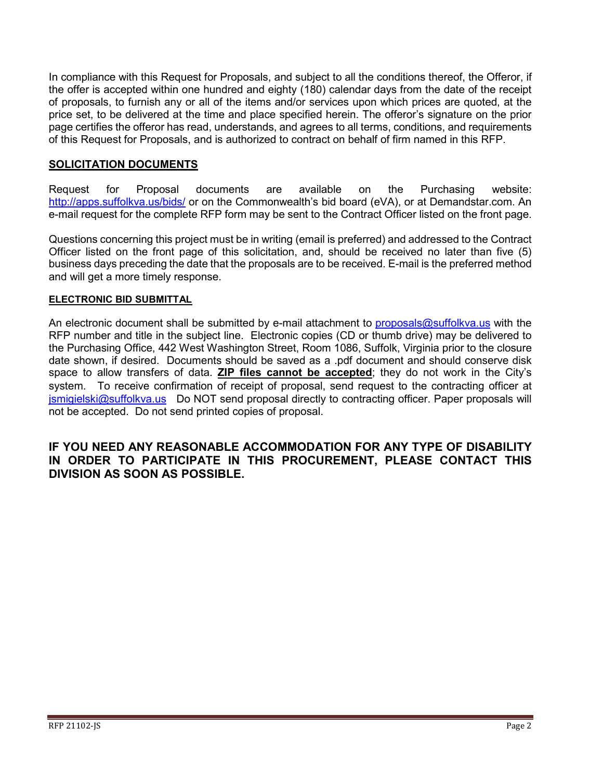In compliance with this Request for Proposals, and subject to all the conditions thereof, the Offeror, if the offer is accepted within one hundred and eighty (180) calendar days from the date of the receipt of proposals, to furnish any or all of the items and/or services upon which prices are quoted, at the price set, to be delivered at the time and place specified herein. The offeror's signature on the prior page certifies the offeror has read, understands, and agrees to all terms, conditions, and requirements of this Request for Proposals, and is authorized to contract on behalf of firm named in this RFP.

#### **SOLICITATION DOCUMENTS**

Request for Proposal documents are available on the Purchasing website: <http://apps.suffolkva.us/bids/> or on the Commonwealth's bid board (eVA), or at Demandstar.com. An e-mail request for the complete RFP form may be sent to the Contract Officer listed on the front page.

Questions concerning this project must be in writing (email is preferred) and addressed to the Contract Officer listed on the front page of this solicitation, and, should be received no later than five (5) business days preceding the date that the proposals are to be received. E-mail is the preferred method and will get a more timely response.

#### **ELECTRONIC BID SUBMITTAL**

An electronic document shall be submitted by e-mail attachment to [proposals@suffolkva.us](mailto:proposals@suffolkva.us) with the RFP number and title in the subject line. Electronic copies (CD or thumb drive) may be delivered to the Purchasing Office, 442 West Washington Street, Room 1086, Suffolk, Virginia prior to the closure date shown, if desired. Documents should be saved as a .pdf document and should conserve disk space to allow transfers of data. **ZIP files cannot be accepted**; they do not work in the City's system. To receive confirmation of receipt of proposal, send request to the contracting officer at [jsmigielski@suffolkva.us](mailto:jsmigielski@suffolkva.us) Do NOT send proposal directly to contracting officer. Paper proposals will not be accepted. Do not send printed copies of proposal.

#### **IF YOU NEED ANY REASONABLE ACCOMMODATION FOR ANY TYPE OF DISABILITY IN ORDER TO PARTICIPATE IN THIS PROCUREMENT, PLEASE CONTACT THIS DIVISION AS SOON AS POSSIBLE.**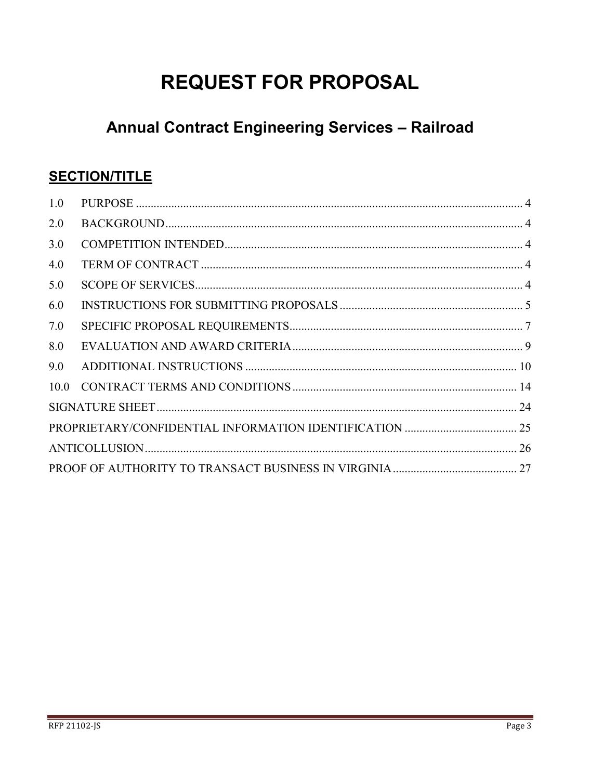# **REQUEST FOR PROPOSAL**

## **Annual Contract Engineering Services - Railroad**

## **SECTION/TITLE**

| 1.0 |  |
|-----|--|
| 2.0 |  |
| 3.0 |  |
| 4.0 |  |
| 5.0 |  |
| 6.0 |  |
| 7.0 |  |
| 8.0 |  |
| 9.0 |  |
|     |  |
|     |  |
|     |  |
|     |  |
|     |  |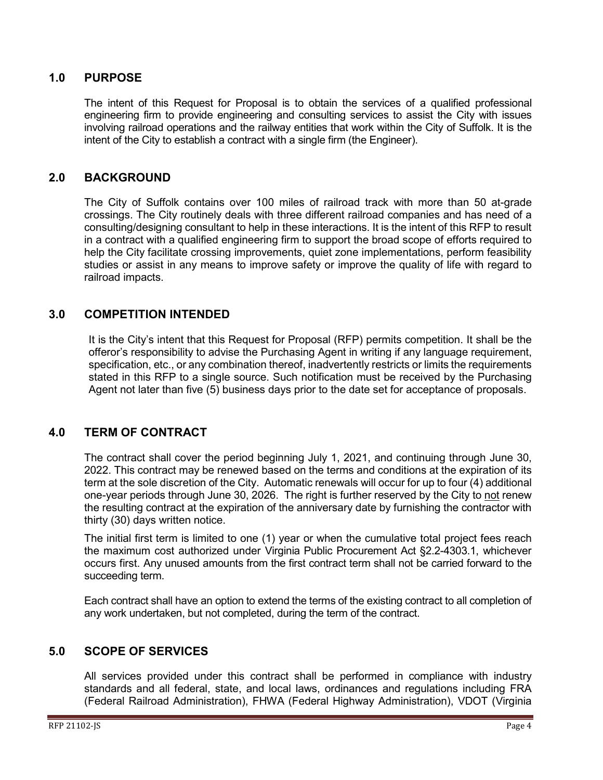#### <span id="page-3-0"></span>**1.0 PURPOSE**

The intent of this Request for Proposal is to obtain the services of a qualified professional engineering firm to provide engineering and consulting services to assist the City with issues involving railroad operations and the railway entities that work within the City of Suffolk. It is the intent of the City to establish a contract with a single firm (the Engineer).

#### <span id="page-3-1"></span>**2.0 BACKGROUND**

The City of Suffolk contains over 100 miles of railroad track with more than 50 at-grade crossings. The City routinely deals with three different railroad companies and has need of a consulting/designing consultant to help in these interactions. It is the intent of this RFP to result in a contract with a qualified engineering firm to support the broad scope of efforts required to help the City facilitate crossing improvements, quiet zone implementations, perform feasibility studies or assist in any means to improve safety or improve the quality of life with regard to railroad impacts.

#### <span id="page-3-2"></span>**3.0 COMPETITION INTENDED**

It is the City's intent that this Request for Proposal (RFP) permits competition. It shall be the offeror's responsibility to advise the Purchasing Agent in writing if any language requirement, specification, etc., or any combination thereof, inadvertently restricts or limits the requirements stated in this RFP to a single source. Such notification must be received by the Purchasing Agent not later than five (5) business days prior to the date set for acceptance of proposals.

#### <span id="page-3-3"></span>**4.0 TERM OF CONTRACT**

The contract shall cover the period beginning July 1, 2021, and continuing through June 30, 2022. This contract may be renewed based on the terms and conditions at the expiration of its term at the sole discretion of the City. Automatic renewals will occur for up to four (4) additional one-year periods through June 30, 2026. The right is further reserved by the City to not renew the resulting contract at the expiration of the anniversary date by furnishing the contractor with thirty (30) days written notice.

The initial first term is limited to one (1) year or when the cumulative total project fees reach the maximum cost authorized under Virginia Public Procurement Act §2.2-4303.1, whichever occurs first. Any unused amounts from the first contract term shall not be carried forward to the succeeding term.

Each contract shall have an option to extend the terms of the existing contract to all completion of any work undertaken, but not completed, during the term of the contract.

#### <span id="page-3-4"></span>**5.0 SCOPE OF SERVICES**

All services provided under this contract shall be performed in compliance with industry standards and all federal, state, and local laws, ordinances and regulations including FRA (Federal Railroad Administration), FHWA (Federal Highway Administration), VDOT (Virginia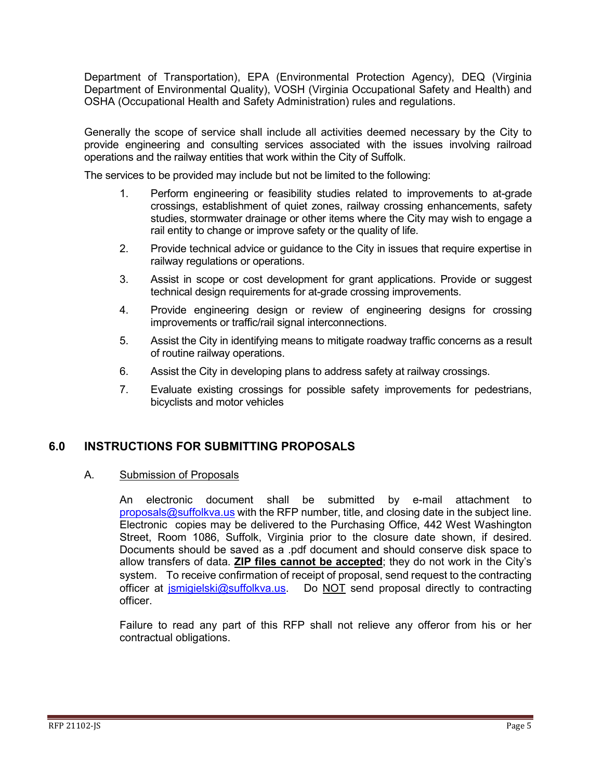Department of Transportation), EPA (Environmental Protection Agency), DEQ (Virginia Department of Environmental Quality), VOSH (Virginia Occupational Safety and Health) and OSHA (Occupational Health and Safety Administration) rules and regulations.

Generally the scope of service shall include all activities deemed necessary by the City to provide engineering and consulting services associated with the issues involving railroad operations and the railway entities that work within the City of Suffolk.

The services to be provided may include but not be limited to the following:

- 1. Perform engineering or feasibility studies related to improvements to at-grade crossings, establishment of quiet zones, railway crossing enhancements, safety studies, stormwater drainage or other items where the City may wish to engage a rail entity to change or improve safety or the quality of life.
- 2. Provide technical advice or guidance to the City in issues that require expertise in railway regulations or operations.
- 3. Assist in scope or cost development for grant applications. Provide or suggest technical design requirements for at-grade crossing improvements.
- 4. Provide engineering design or review of engineering designs for crossing improvements or traffic/rail signal interconnections.
- 5. Assist the City in identifying means to mitigate roadway traffic concerns as a result of routine railway operations.
- 6. Assist the City in developing plans to address safety at railway crossings.
- 7. Evaluate existing crossings for possible safety improvements for pedestrians, bicyclists and motor vehicles

#### <span id="page-4-0"></span>**6.0 INSTRUCTIONS FOR SUBMITTING PROPOSALS**

#### A. Submission of Proposals

An electronic document shall be submitted by e-mail attachment to [proposals@suffolkva.us](mailto:proposals@suffolkva.us) with the RFP number, title, and closing date in the subject line. Electronic copies may be delivered to the Purchasing Office, 442 West Washington Street, Room 1086, Suffolk, Virginia prior to the closure date shown, if desired. Documents should be saved as a .pdf document and should conserve disk space to allow transfers of data. **ZIP files cannot be accepted**; they do not work in the City's system. To receive confirmation of receipt of proposal, send request to the contracting officer at [jsmigielski@suffolkva.us.](mailto:jsmigielski@suffolkva.us) Do NOT send proposal directly to contracting officer.

Failure to read any part of this RFP shall not relieve any offeror from his or her contractual obligations.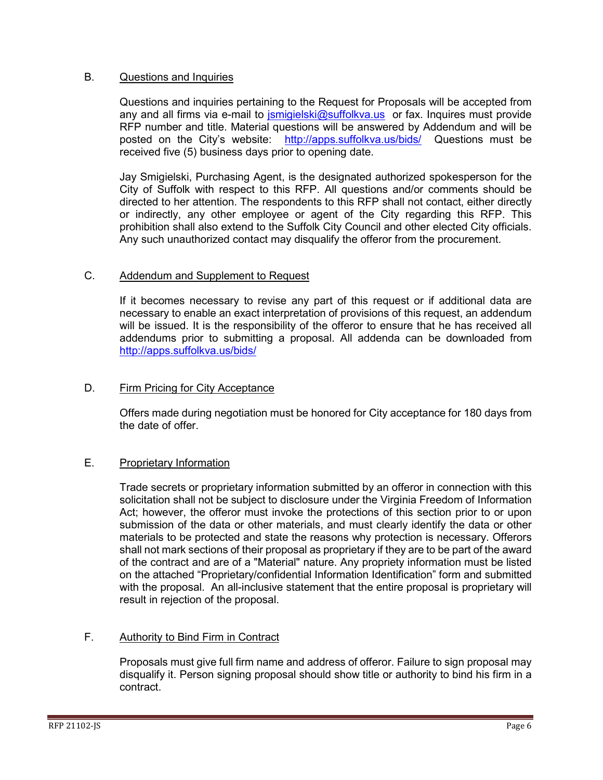#### B. Questions and Inquiries

Questions and inquiries pertaining to the Request for Proposals will be accepted from any and all firms via e-mail to *jsmigielski@suffolkva.us* or fax. Inquires must provide RFP number and title. Material questions will be answered by Addendum and will be posted on the City's website: <http://apps.suffolkva.us/bids/> Questions must be received five (5) business days prior to opening date.

Jay Smigielski, Purchasing Agent, is the designated authorized spokesperson for the City of Suffolk with respect to this RFP. All questions and/or comments should be directed to her attention. The respondents to this RFP shall not contact, either directly or indirectly, any other employee or agent of the City regarding this RFP. This prohibition shall also extend to the Suffolk City Council and other elected City officials. Any such unauthorized contact may disqualify the offeror from the procurement.

#### C. Addendum and Supplement to Request

If it becomes necessary to revise any part of this request or if additional data are necessary to enable an exact interpretation of provisions of this request, an addendum will be issued. It is the responsibility of the offeror to ensure that he has received all addendums prior to submitting a proposal. All addenda can be downloaded from <http://apps.suffolkva.us/bids/>

#### D. Firm Pricing for City Acceptance

Offers made during negotiation must be honored for City acceptance for 180 days from the date of offer.

#### E. Proprietary Information

Trade secrets or proprietary information submitted by an offeror in connection with this solicitation shall not be subject to disclosure under the Virginia Freedom of Information Act; however, the offeror must invoke the protections of this section prior to or upon submission of the data or other materials, and must clearly identify the data or other materials to be protected and state the reasons why protection is necessary. Offerors shall not mark sections of their proposal as proprietary if they are to be part of the award of the contract and are of a "Material" nature. Any propriety information must be listed on the attached "Proprietary/confidential Information Identification" form and submitted with the proposal. An all-inclusive statement that the entire proposal is proprietary will result in rejection of the proposal.

#### F. Authority to Bind Firm in Contract

Proposals must give full firm name and address of offeror. Failure to sign proposal may disqualify it. Person signing proposal should show title or authority to bind his firm in a contract.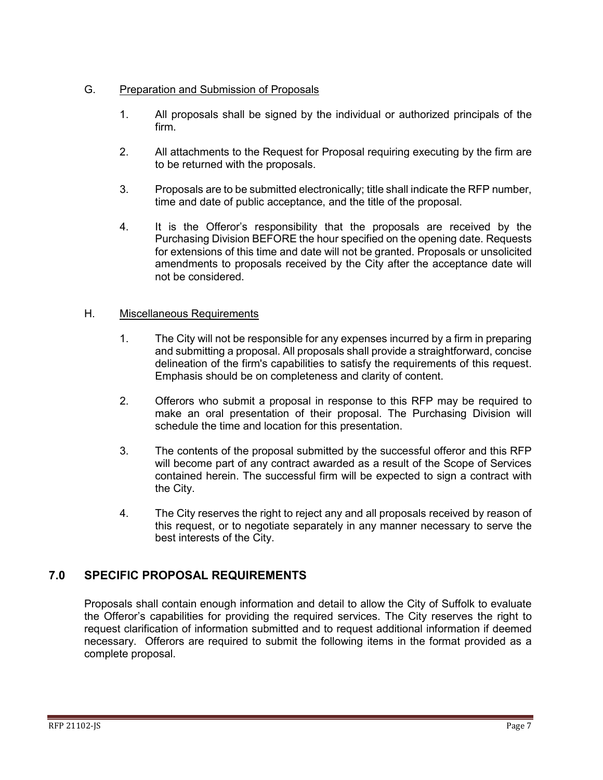#### G. Preparation and Submission of Proposals

- 1. All proposals shall be signed by the individual or authorized principals of the firm.
- 2. All attachments to the Request for Proposal requiring executing by the firm are to be returned with the proposals.
- 3. Proposals are to be submitted electronically; title shall indicate the RFP number, time and date of public acceptance, and the title of the proposal.
- 4. It is the Offeror's responsibility that the proposals are received by the Purchasing Division BEFORE the hour specified on the opening date. Requests for extensions of this time and date will not be granted. Proposals or unsolicited amendments to proposals received by the City after the acceptance date will not be considered.

#### H. Miscellaneous Requirements

- 1. The City will not be responsible for any expenses incurred by a firm in preparing and submitting a proposal. All proposals shall provide a straightforward, concise delineation of the firm's capabilities to satisfy the requirements of this request. Emphasis should be on completeness and clarity of content.
- 2. Offerors who submit a proposal in response to this RFP may be required to make an oral presentation of their proposal. The Purchasing Division will schedule the time and location for this presentation.
- 3. The contents of the proposal submitted by the successful offeror and this RFP will become part of any contract awarded as a result of the Scope of Services contained herein. The successful firm will be expected to sign a contract with the City.
- 4. The City reserves the right to reject any and all proposals received by reason of this request, or to negotiate separately in any manner necessary to serve the best interests of the City.

### <span id="page-6-0"></span>**7.0 SPECIFIC PROPOSAL REQUIREMENTS**

Proposals shall contain enough information and detail to allow the City of Suffolk to evaluate the Offeror's capabilities for providing the required services. The City reserves the right to request clarification of information submitted and to request additional information if deemed necessary. Offerors are required to submit the following items in the format provided as a complete proposal.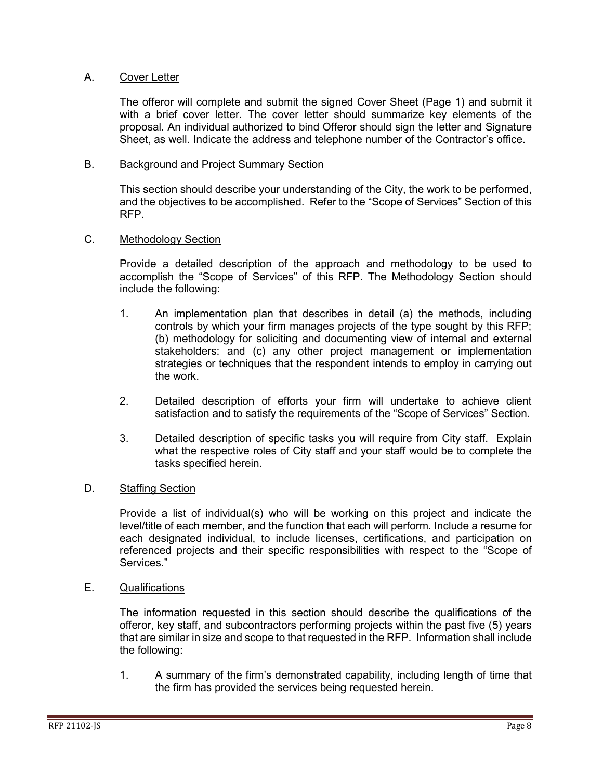#### A. Cover Letter

The offeror will complete and submit the signed Cover Sheet (Page 1) and submit it with a brief cover letter. The cover letter should summarize key elements of the proposal. An individual authorized to bind Offeror should sign the letter and Signature Sheet, as well. Indicate the address and telephone number of the Contractor's office.

#### B. Background and Project Summary Section

This section should describe your understanding of the City, the work to be performed, and the objectives to be accomplished. Refer to the "Scope of Services" Section of this RFP.

#### C. Methodology Section

Provide a detailed description of the approach and methodology to be used to accomplish the "Scope of Services" of this RFP. The Methodology Section should include the following:

- 1. An implementation plan that describes in detail (a) the methods, including controls by which your firm manages projects of the type sought by this RFP; (b) methodology for soliciting and documenting view of internal and external stakeholders: and (c) any other project management or implementation strategies or techniques that the respondent intends to employ in carrying out the work.
- 2. Detailed description of efforts your firm will undertake to achieve client satisfaction and to satisfy the requirements of the "Scope of Services" Section.
- 3. Detailed description of specific tasks you will require from City staff. Explain what the respective roles of City staff and your staff would be to complete the tasks specified herein.

#### D. Staffing Section

Provide a list of individual(s) who will be working on this project and indicate the level/title of each member, and the function that each will perform. Include a resume for each designated individual, to include licenses, certifications, and participation on referenced projects and their specific responsibilities with respect to the "Scope of Services."

#### E. Qualifications

The information requested in this section should describe the qualifications of the offeror, key staff, and subcontractors performing projects within the past five (5) years that are similar in size and scope to that requested in the RFP. Information shall include the following:

1. A summary of the firm's demonstrated capability, including length of time that the firm has provided the services being requested herein.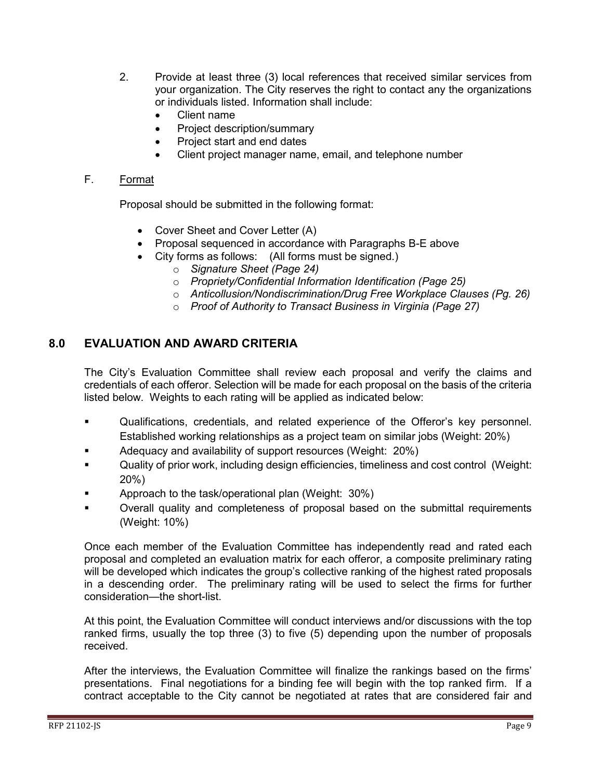- 2. Provide at least three (3) local references that received similar services from your organization. The City reserves the right to contact any the organizations or individuals listed. Information shall include:
	- Client name
	- Project description/summary
	- Project start and end dates
	- Client project manager name, email, and telephone number

#### F. Format

Proposal should be submitted in the following format:

- Cover Sheet and Cover Letter (A)
- Proposal sequenced in accordance with Paragraphs B-E above
- City forms as follows: (All forms must be signed.)
	- o *Signature Sheet (Page 24)*
	- o *Propriety/Confidential Information Identification (Page 25)*
	- o *Anticollusion/Nondiscrimination/Drug Free Workplace Clauses (Pg. 26)*
	- o *Proof of Authority to Transact Business in Virginia (Page 27)*

#### <span id="page-8-0"></span>**8.0 EVALUATION AND AWARD CRITERIA**

The City's Evaluation Committee shall review each proposal and verify the claims and credentials of each offeror. Selection will be made for each proposal on the basis of the criteria listed below. Weights to each rating will be applied as indicated below:

- Qualifications, credentials, and related experience of the Offeror's key personnel. Established working relationships as a project team on similar jobs (Weight: 20%)
- Adequacy and availability of support resources (Weight: 20%)
- Quality of prior work, including design efficiencies, timeliness and cost control (Weight: 20%)
- Approach to the task/operational plan (Weight: 30%)
- Overall quality and completeness of proposal based on the submittal requirements (Weight: 10%)

Once each member of the Evaluation Committee has independently read and rated each proposal and completed an evaluation matrix for each offeror, a composite preliminary rating will be developed which indicates the group's collective ranking of the highest rated proposals in a descending order. The preliminary rating will be used to select the firms for further consideration—the short-list.

At this point, the Evaluation Committee will conduct interviews and/or discussions with the top ranked firms, usually the top three (3) to five (5) depending upon the number of proposals received.

After the interviews, the Evaluation Committee will finalize the rankings based on the firms' presentations. Final negotiations for a binding fee will begin with the top ranked firm. If a contract acceptable to the City cannot be negotiated at rates that are considered fair and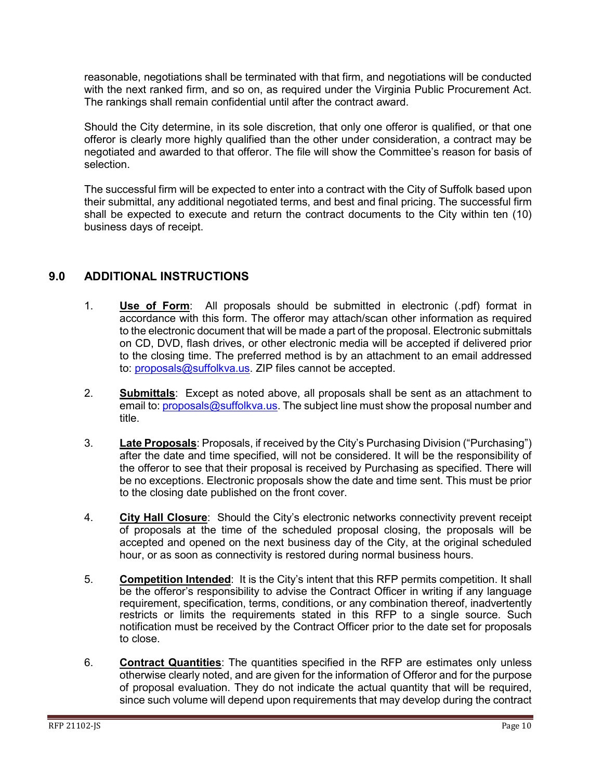reasonable, negotiations shall be terminated with that firm, and negotiations will be conducted with the next ranked firm, and so on, as required under the Virginia Public Procurement Act. The rankings shall remain confidential until after the contract award.

Should the City determine, in its sole discretion, that only one offeror is qualified, or that one offeror is clearly more highly qualified than the other under consideration, a contract may be negotiated and awarded to that offeror. The file will show the Committee's reason for basis of selection.

The successful firm will be expected to enter into a contract with the City of Suffolk based upon their submittal, any additional negotiated terms, and best and final pricing. The successful firm shall be expected to execute and return the contract documents to the City within ten (10) business days of receipt.

#### <span id="page-9-0"></span>**9.0 ADDITIONAL INSTRUCTIONS**

- 1. **Use of Form**: All proposals should be submitted in electronic (.pdf) format in accordance with this form. The offeror may attach/scan other information as required to the electronic document that will be made a part of the proposal. Electronic submittals on CD, DVD, flash drives, or other electronic media will be accepted if delivered prior to the closing time. The preferred method is by an attachment to an email addressed to: [proposals@suffolkva.us.](mailto:proposals@suffolkva.us) ZIP files cannot be accepted.
- 2. **Submittals**: Except as noted above, all proposals shall be sent as an attachment to email to: [proposals@suffolkva.us.](mailto:proposals@suffolkva.us) The subject line must show the proposal number and title.
- 3. **Late Proposals**: Proposals, if received by the City's Purchasing Division ("Purchasing") after the date and time specified, will not be considered. It will be the responsibility of the offeror to see that their proposal is received by Purchasing as specified. There will be no exceptions. Electronic proposals show the date and time sent. This must be prior to the closing date published on the front cover.
- 4. **City Hall Closure**: Should the City's electronic networks connectivity prevent receipt of proposals at the time of the scheduled proposal closing, the proposals will be accepted and opened on the next business day of the City, at the original scheduled hour, or as soon as connectivity is restored during normal business hours.
- 5. **Competition Intended**: It is the City's intent that this RFP permits competition. It shall be the offeror's responsibility to advise the Contract Officer in writing if any language requirement, specification, terms, conditions, or any combination thereof, inadvertently restricts or limits the requirements stated in this RFP to a single source. Such notification must be received by the Contract Officer prior to the date set for proposals to close.
- 6. **Contract Quantities**: The quantities specified in the RFP are estimates only unless otherwise clearly noted, and are given for the information of Offeror and for the purpose of proposal evaluation. They do not indicate the actual quantity that will be required, since such volume will depend upon requirements that may develop during the contract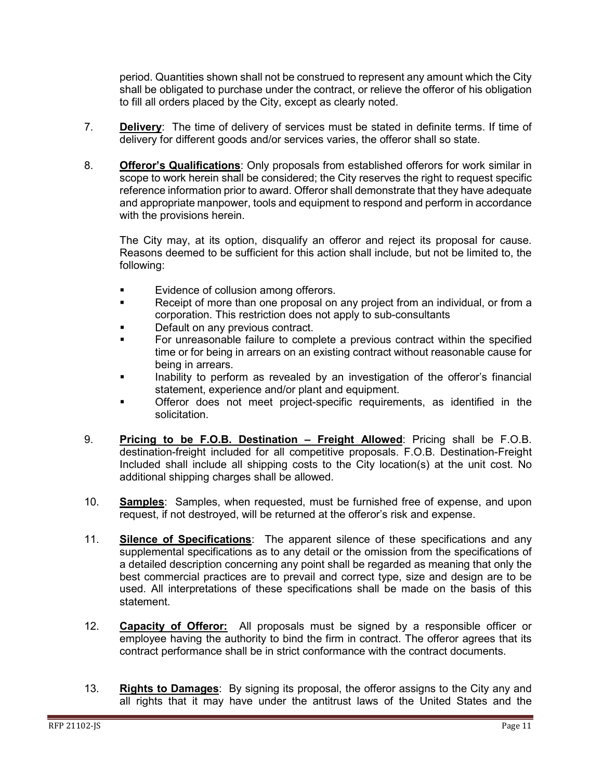period. Quantities shown shall not be construed to represent any amount which the City shall be obligated to purchase under the contract, or relieve the offeror of his obligation to fill all orders placed by the City, except as clearly noted.

- 7. **Delivery**: The time of delivery of services must be stated in definite terms. If time of delivery for different goods and/or services varies, the offeror shall so state.
- 8. **Offeror's Qualifications**: Only proposals from established offerors for work similar in scope to work herein shall be considered; the City reserves the right to request specific reference information prior to award. Offeror shall demonstrate that they have adequate and appropriate manpower, tools and equipment to respond and perform in accordance with the provisions herein.

The City may, at its option, disqualify an offeror and reject its proposal for cause. Reasons deemed to be sufficient for this action shall include, but not be limited to, the following:

- **Evidence of collusion among offerors.**
- **Receipt of more than one proposal on any project from an individual, or from a** corporation. This restriction does not apply to sub-consultants
- Default on any previous contract.
- For unreasonable failure to complete a previous contract within the specified time or for being in arrears on an existing contract without reasonable cause for being in arrears.
- **Inability to perform as revealed by an investigation of the offeror's financial** statement, experience and/or plant and equipment.
- **The Set of the Set of the Set of the Set of the Set of the Set of the Set of the Set of the Set of the Set of the Set of the Set of the Set of the Set of the Set of the Set of the Set of the Set of the Set of the Set of t** solicitation.
- 9. **Pricing to be F.O.B. Destination – Freight Allowed**: Pricing shall be F.O.B. destination-freight included for all competitive proposals. F.O.B. Destination-Freight Included shall include all shipping costs to the City location(s) at the unit cost. No additional shipping charges shall be allowed.
- 10. **Samples**: Samples, when requested, must be furnished free of expense, and upon request, if not destroyed, will be returned at the offeror's risk and expense.
- 11. **Silence of Specifications**: The apparent silence of these specifications and any supplemental specifications as to any detail or the omission from the specifications of a detailed description concerning any point shall be regarded as meaning that only the best commercial practices are to prevail and correct type, size and design are to be used. All interpretations of these specifications shall be made on the basis of this statement.
- 12. **Capacity of Offeror:** All proposals must be signed by a responsible officer or employee having the authority to bind the firm in contract. The offeror agrees that its contract performance shall be in strict conformance with the contract documents.
- 13. **Rights to Damages**: By signing its proposal, the offeror assigns to the City any and all rights that it may have under the antitrust laws of the United States and the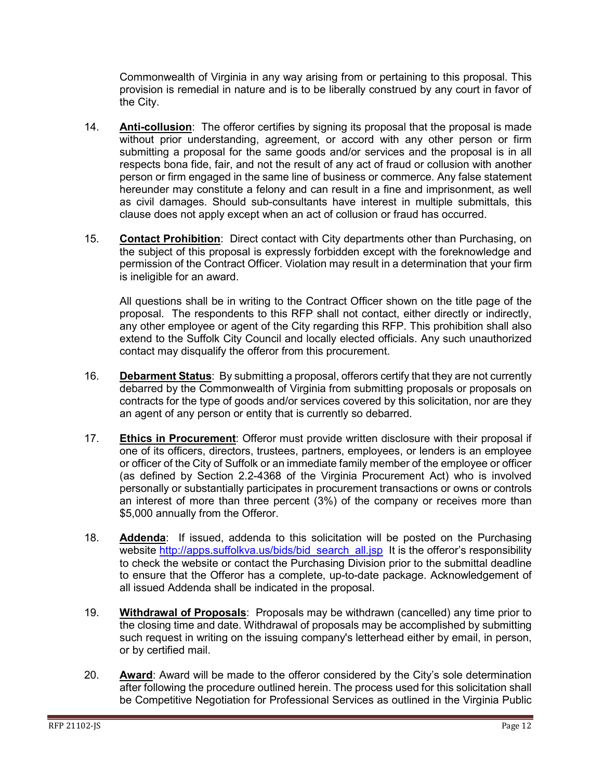Commonwealth of Virginia in any way arising from or pertaining to this proposal. This provision is remedial in nature and is to be liberally construed by any court in favor of the City.

- 14. **Anti-collusion**: The offeror certifies by signing its proposal that the proposal is made without prior understanding, agreement, or accord with any other person or firm submitting a proposal for the same goods and/or services and the proposal is in all respects bona fide, fair, and not the result of any act of fraud or collusion with another person or firm engaged in the same line of business or commerce. Any false statement hereunder may constitute a felony and can result in a fine and imprisonment, as well as civil damages. Should sub-consultants have interest in multiple submittals, this clause does not apply except when an act of collusion or fraud has occurred.
- 15. **Contact Prohibition**: Direct contact with City departments other than Purchasing, on the subject of this proposal is expressly forbidden except with the foreknowledge and permission of the Contract Officer. Violation may result in a determination that your firm is ineligible for an award.

All questions shall be in writing to the Contract Officer shown on the title page of the proposal. The respondents to this RFP shall not contact, either directly or indirectly, any other employee or agent of the City regarding this RFP. This prohibition shall also extend to the Suffolk City Council and locally elected officials. Any such unauthorized contact may disqualify the offeror from this procurement.

- 16. **Debarment Status**: By submitting a proposal, offerors certify that they are not currently debarred by the Commonwealth of Virginia from submitting proposals or proposals on contracts for the type of goods and/or services covered by this solicitation, nor are they an agent of any person or entity that is currently so debarred.
- 17. **Ethics in Procurement**: Offeror must provide written disclosure with their proposal if one of its officers, directors, trustees, partners, employees, or lenders is an employee or officer of the City of Suffolk or an immediate family member of the employee or officer (as defined by Section 2.2-4368 of the Virginia Procurement Act) who is involved personally or substantially participates in procurement transactions or owns or controls an interest of more than three percent (3%) of the company or receives more than \$5,000 annually from the Offeror.
- 18. **Addenda**: If issued, addenda to this solicitation will be posted on the Purchasing website [http://apps.suffolkva.us/bids/bid\\_search\\_all.jsp](http://apps.suffolkva.us/bids/bid_search_all.jsp) It is the offeror's responsibility to check the website or contact the Purchasing Division prior to the submittal deadline to ensure that the Offeror has a complete, up-to-date package. Acknowledgement of all issued Addenda shall be indicated in the proposal.
- 19. **Withdrawal of Proposals**: Proposals may be withdrawn (cancelled) any time prior to the closing time and date. Withdrawal of proposals may be accomplished by submitting such request in writing on the issuing company's letterhead either by email, in person, or by certified mail.
- 20. **Award**: Award will be made to the offeror considered by the City's sole determination after following the procedure outlined herein. The process used for this solicitation shall be Competitive Negotiation for Professional Services as outlined in the Virginia Public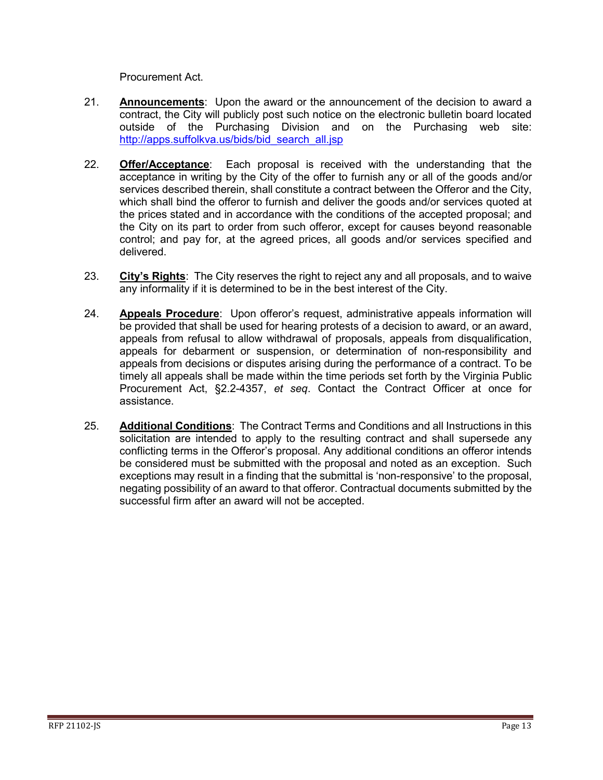Procurement Act.

- 21. **Announcements**: Upon the award or the announcement of the decision to award a contract, the City will publicly post such notice on the electronic bulletin board located outside of the Purchasing Division and on the Purchasing web site: [http://apps.suffolkva.us/bids/bid\\_search\\_all.jsp](http://apps.suffolkva.us/bids/bid_search_all.jsp)
- 22. **Offer/Acceptance**: Each proposal is received with the understanding that the acceptance in writing by the City of the offer to furnish any or all of the goods and/or services described therein, shall constitute a contract between the Offeror and the City, which shall bind the offeror to furnish and deliver the goods and/or services quoted at the prices stated and in accordance with the conditions of the accepted proposal; and the City on its part to order from such offeror, except for causes beyond reasonable control; and pay for, at the agreed prices, all goods and/or services specified and delivered.
- 23. **City's Rights**: The City reserves the right to reject any and all proposals, and to waive any informality if it is determined to be in the best interest of the City.
- 24. **Appeals Procedure**: Upon offeror's request, administrative appeals information will be provided that shall be used for hearing protests of a decision to award, or an award, appeals from refusal to allow withdrawal of proposals, appeals from disqualification, appeals for debarment or suspension, or determination of non-responsibility and appeals from decisions or disputes arising during the performance of a contract. To be timely all appeals shall be made within the time periods set forth by the Virginia Public Procurement Act, §2.2-4357, *et seq*. Contact the Contract Officer at once for assistance.
- 25. **Additional Conditions**: The Contract Terms and Conditions and all Instructions in this solicitation are intended to apply to the resulting contract and shall supersede any conflicting terms in the Offeror's proposal. Any additional conditions an offeror intends be considered must be submitted with the proposal and noted as an exception. Such exceptions may result in a finding that the submittal is 'non-responsive' to the proposal, negating possibility of an award to that offeror. Contractual documents submitted by the successful firm after an award will not be accepted.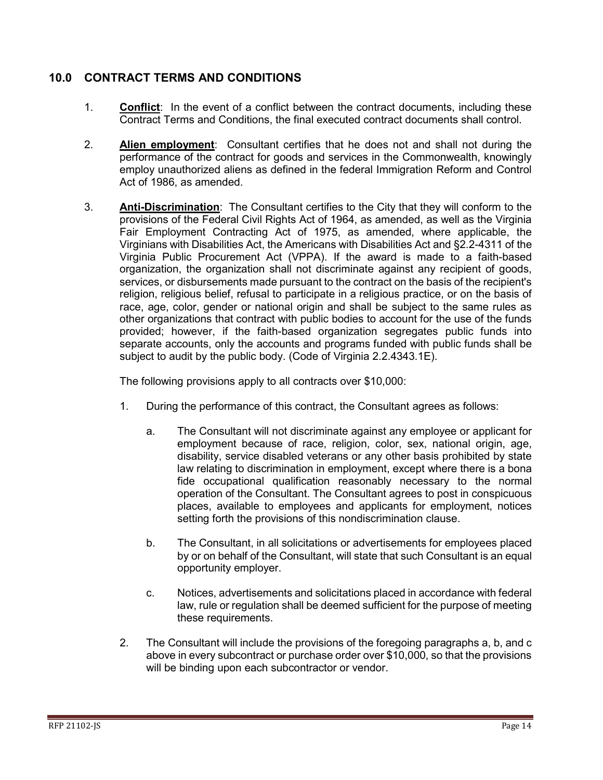#### <span id="page-13-0"></span>**10.0 CONTRACT TERMS AND CONDITIONS**

- 1. **Conflict**: In the event of a conflict between the contract documents, including these Contract Terms and Conditions, the final executed contract documents shall control.
- 2. **Alien employment**: Consultant certifies that he does not and shall not during the performance of the contract for goods and services in the Commonwealth, knowingly employ unauthorized aliens as defined in the federal Immigration Reform and Control Act of 1986, as amended.
- 3. **Anti-Discrimination**: The Consultant certifies to the City that they will conform to the provisions of the Federal Civil Rights Act of 1964, as amended, as well as the Virginia Fair Employment Contracting Act of 1975, as amended, where applicable, the Virginians with Disabilities Act, the Americans with Disabilities Act and §2.2-4311 of the Virginia Public Procurement Act (VPPA). If the award is made to a faith-based organization, the organization shall not discriminate against any recipient of goods, services, or disbursements made pursuant to the contract on the basis of the recipient's religion, religious belief, refusal to participate in a religious practice, or on the basis of race, age, color, gender or national origin and shall be subject to the same rules as other organizations that contract with public bodies to account for the use of the funds provided; however, if the faith-based organization segregates public funds into separate accounts, only the accounts and programs funded with public funds shall be subject to audit by the public body. (Code of Virginia 2.2.4343.1E).

The following provisions apply to all contracts over \$10,000:

- 1. During the performance of this contract, the Consultant agrees as follows:
	- a. The Consultant will not discriminate against any employee or applicant for employment because of race, religion, color, sex, national origin, age, disability, service disabled veterans or any other basis prohibited by state law relating to discrimination in employment, except where there is a bona fide occupational qualification reasonably necessary to the normal operation of the Consultant. The Consultant agrees to post in conspicuous places, available to employees and applicants for employment, notices setting forth the provisions of this nondiscrimination clause.
	- b. The Consultant, in all solicitations or advertisements for employees placed by or on behalf of the Consultant, will state that such Consultant is an equal opportunity employer.
	- c. Notices, advertisements and solicitations placed in accordance with federal law, rule or regulation shall be deemed sufficient for the purpose of meeting these requirements.
- 2. The Consultant will include the provisions of the foregoing paragraphs a, b, and c above in every subcontract or purchase order over \$10,000, so that the provisions will be binding upon each subcontractor or vendor.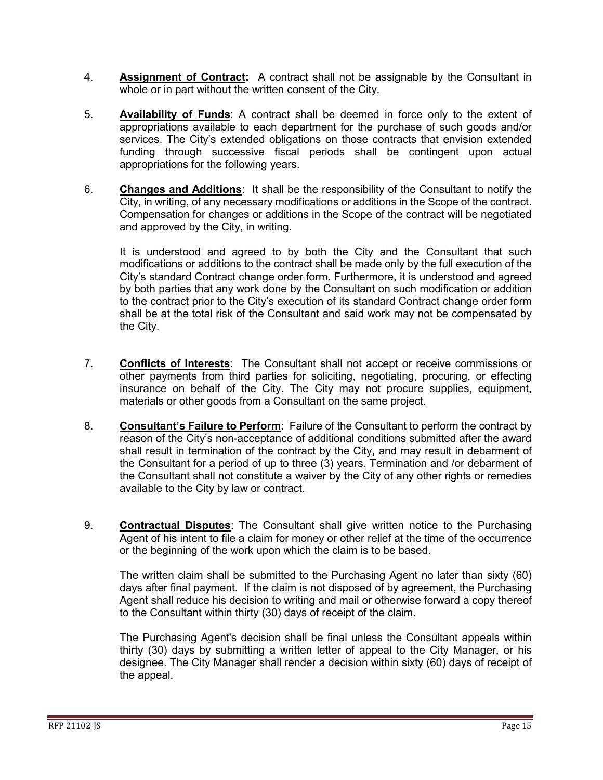- 4. **Assignment of Contract:** A contract shall not be assignable by the Consultant in whole or in part without the written consent of the City.
- 5. **Availability of Funds**: A contract shall be deemed in force only to the extent of appropriations available to each department for the purchase of such goods and/or services. The City's extended obligations on those contracts that envision extended funding through successive fiscal periods shall be contingent upon actual appropriations for the following years.
- 6. **Changes and Additions**: It shall be the responsibility of the Consultant to notify the City, in writing, of any necessary modifications or additions in the Scope of the contract. Compensation for changes or additions in the Scope of the contract will be negotiated and approved by the City, in writing.

It is understood and agreed to by both the City and the Consultant that such modifications or additions to the contract shall be made only by the full execution of the City's standard Contract change order form. Furthermore, it is understood and agreed by both parties that any work done by the Consultant on such modification or addition to the contract prior to the City's execution of its standard Contract change order form shall be at the total risk of the Consultant and said work may not be compensated by the City.

- 7. **Conflicts of Interests**: The Consultant shall not accept or receive commissions or other payments from third parties for soliciting, negotiating, procuring, or effecting insurance on behalf of the City. The City may not procure supplies, equipment, materials or other goods from a Consultant on the same project.
- 8. **Consultant's Failure to Perform**: Failure of the Consultant to perform the contract by reason of the City's non-acceptance of additional conditions submitted after the award shall result in termination of the contract by the City, and may result in debarment of the Consultant for a period of up to three (3) years. Termination and /or debarment of the Consultant shall not constitute a waiver by the City of any other rights or remedies available to the City by law or contract.
- 9. **Contractual Disputes**: The Consultant shall give written notice to the Purchasing Agent of his intent to file a claim for money or other relief at the time of the occurrence or the beginning of the work upon which the claim is to be based.

The written claim shall be submitted to the Purchasing Agent no later than sixty (60) days after final payment. If the claim is not disposed of by agreement, the Purchasing Agent shall reduce his decision to writing and mail or otherwise forward a copy thereof to the Consultant within thirty (30) days of receipt of the claim.

The Purchasing Agent's decision shall be final unless the Consultant appeals within thirty (30) days by submitting a written letter of appeal to the City Manager, or his designee. The City Manager shall render a decision within sixty (60) days of receipt of the appeal.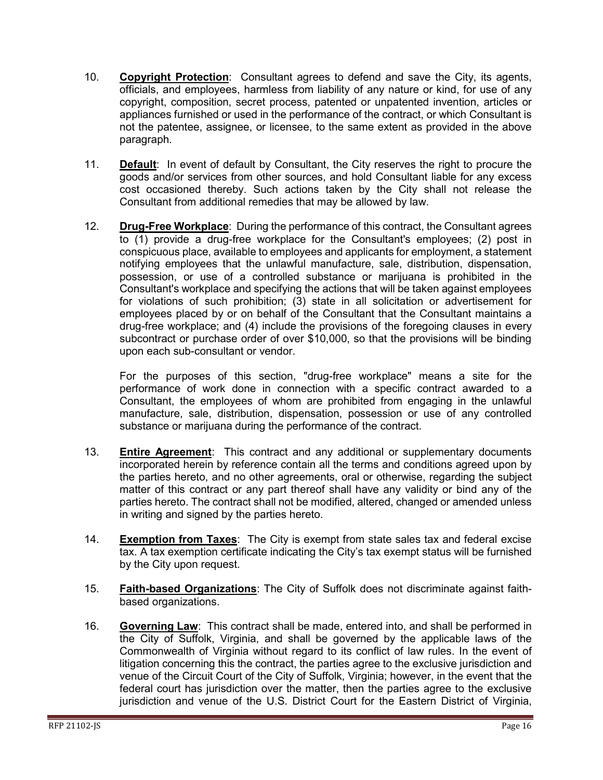- 10. **Copyright Protection**: Consultant agrees to defend and save the City, its agents, officials, and employees, harmless from liability of any nature or kind, for use of any copyright, composition, secret process, patented or unpatented invention, articles or appliances furnished or used in the performance of the contract, or which Consultant is not the patentee, assignee, or licensee, to the same extent as provided in the above paragraph.
- 11. **Default**: In event of default by Consultant, the City reserves the right to procure the goods and/or services from other sources, and hold Consultant liable for any excess cost occasioned thereby. Such actions taken by the City shall not release the Consultant from additional remedies that may be allowed by law.
- 12. **Drug-Free Workplace**: During the performance of this contract, the Consultant agrees to (1) provide a drug-free workplace for the Consultant's employees; (2) post in conspicuous place, available to employees and applicants for employment, a statement notifying employees that the unlawful manufacture, sale, distribution, dispensation, possession, or use of a controlled substance or marijuana is prohibited in the Consultant's workplace and specifying the actions that will be taken against employees for violations of such prohibition; (3) state in all solicitation or advertisement for employees placed by or on behalf of the Consultant that the Consultant maintains a drug-free workplace; and (4) include the provisions of the foregoing clauses in every subcontract or purchase order of over \$10,000, so that the provisions will be binding upon each sub-consultant or vendor.

For the purposes of this section, "drug-free workplace" means a site for the performance of work done in connection with a specific contract awarded to a Consultant, the employees of whom are prohibited from engaging in the unlawful manufacture, sale, distribution, dispensation, possession or use of any controlled substance or marijuana during the performance of the contract.

- 13. **Entire Agreement**: This contract and any additional or supplementary documents incorporated herein by reference contain all the terms and conditions agreed upon by the parties hereto, and no other agreements, oral or otherwise, regarding the subject matter of this contract or any part thereof shall have any validity or bind any of the parties hereto. The contract shall not be modified, altered, changed or amended unless in writing and signed by the parties hereto.
- 14. **Exemption from Taxes**: The City is exempt from state sales tax and federal excise tax. A tax exemption certificate indicating the City's tax exempt status will be furnished by the City upon request.
- 15. **Faith-based Organizations**: The City of Suffolk does not discriminate against faithbased organizations.
- 16. **Governing Law**: This contract shall be made, entered into, and shall be performed in the City of Suffolk, Virginia, and shall be governed by the applicable laws of the Commonwealth of Virginia without regard to its conflict of law rules. In the event of litigation concerning this the contract, the parties agree to the exclusive jurisdiction and venue of the Circuit Court of the City of Suffolk, Virginia; however, in the event that the federal court has jurisdiction over the matter, then the parties agree to the exclusive jurisdiction and venue of the U.S. District Court for the Eastern District of Virginia,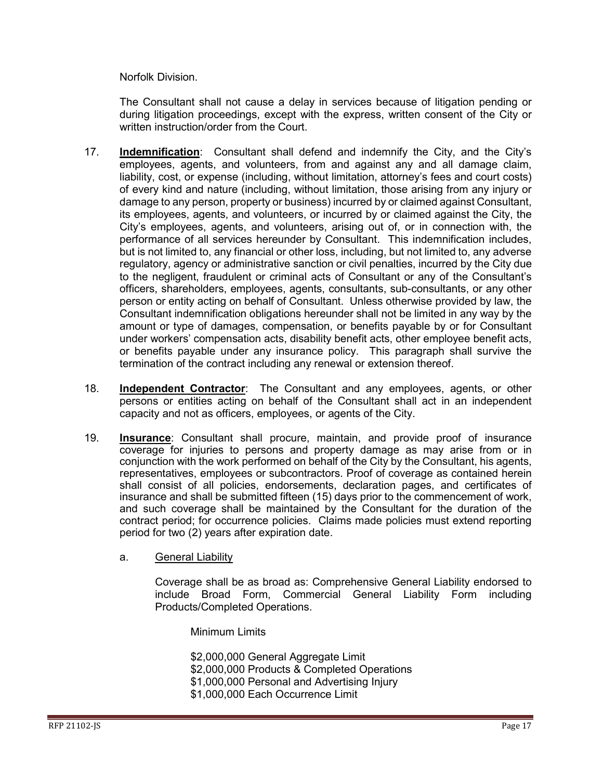Norfolk Division.

The Consultant shall not cause a delay in services because of litigation pending or during litigation proceedings, except with the express, written consent of the City or written instruction/order from the Court.

- 17. **Indemnification**: Consultant shall defend and indemnify the City, and the City's employees, agents, and volunteers, from and against any and all damage claim, liability, cost, or expense (including, without limitation, attorney's fees and court costs) of every kind and nature (including, without limitation, those arising from any injury or damage to any person, property or business) incurred by or claimed against Consultant, its employees, agents, and volunteers, or incurred by or claimed against the City, the City's employees, agents, and volunteers, arising out of, or in connection with, the performance of all services hereunder by Consultant. This indemnification includes, but is not limited to, any financial or other loss, including, but not limited to, any adverse regulatory, agency or administrative sanction or civil penalties, incurred by the City due to the negligent, fraudulent or criminal acts of Consultant or any of the Consultant's officers, shareholders, employees, agents, consultants, sub-consultants, or any other person or entity acting on behalf of Consultant. Unless otherwise provided by law, the Consultant indemnification obligations hereunder shall not be limited in any way by the amount or type of damages, compensation, or benefits payable by or for Consultant under workers' compensation acts, disability benefit acts, other employee benefit acts, or benefits payable under any insurance policy. This paragraph shall survive the termination of the contract including any renewal or extension thereof.
- 18. **Independent Contractor**: The Consultant and any employees, agents, or other persons or entities acting on behalf of the Consultant shall act in an independent capacity and not as officers, employees, or agents of the City.
- 19. **Insurance**: Consultant shall procure, maintain, and provide proof of insurance coverage for injuries to persons and property damage as may arise from or in conjunction with the work performed on behalf of the City by the Consultant, his agents, representatives, employees or subcontractors. Proof of coverage as contained herein shall consist of all policies, endorsements, declaration pages, and certificates of insurance and shall be submitted fifteen (15) days prior to the commencement of work, and such coverage shall be maintained by the Consultant for the duration of the contract period; for occurrence policies. Claims made policies must extend reporting period for two (2) years after expiration date.
	- a. General Liability

Coverage shall be as broad as: Comprehensive General Liability endorsed to include Broad Form, Commercial General Liability Form including Products/Completed Operations.

Minimum Limits

\$2,000,000 General Aggregate Limit \$2,000,000 Products & Completed Operations \$1,000,000 Personal and Advertising Injury

- 
- \$1,000,000 Each Occurrence Limit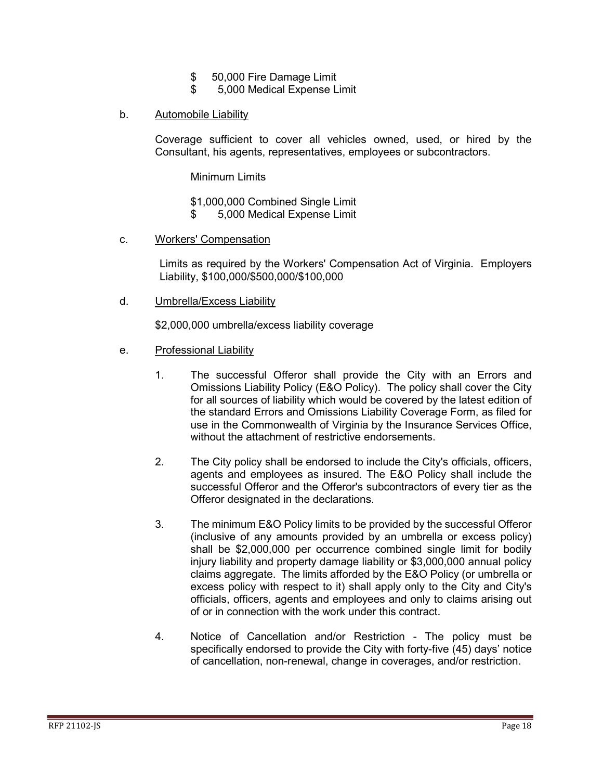- \$ 50,000 Fire Damage Limit<br>\$ 5,000 Medical Expense L
- \$ 5,000 Medical Expense Limit
- b. Automobile Liability

Coverage sufficient to cover all vehicles owned, used, or hired by the Consultant, his agents, representatives, employees or subcontractors.

Minimum Limits

- \$1,000,000 Combined Single Limit
- \$ 5,000 Medical Expense Limit
- c. Workers' Compensation

Limits as required by the Workers' Compensation Act of Virginia. Employers Liability, \$100,000/\$500,000/\$100,000

d. Umbrella/Excess Liability

\$2,000,000 umbrella/excess liability coverage

- e. Professional Liability
	- 1. The successful Offeror shall provide the City with an Errors and Omissions Liability Policy (E&O Policy). The policy shall cover the City for all sources of liability which would be covered by the latest edition of the standard Errors and Omissions Liability Coverage Form, as filed for use in the Commonwealth of Virginia by the Insurance Services Office, without the attachment of restrictive endorsements.
	- 2. The City policy shall be endorsed to include the City's officials, officers, agents and employees as insured. The E&O Policy shall include the successful Offeror and the Offeror's subcontractors of every tier as the Offeror designated in the declarations.
	- 3. The minimum E&O Policy limits to be provided by the successful Offeror (inclusive of any amounts provided by an umbrella or excess policy) shall be \$2,000,000 per occurrence combined single limit for bodily injury liability and property damage liability or \$3,000,000 annual policy claims aggregate. The limits afforded by the E&O Policy (or umbrella or excess policy with respect to it) shall apply only to the City and City's officials, officers, agents and employees and only to claims arising out of or in connection with the work under this contract.
	- 4. Notice of Cancellation and/or Restriction The policy must be specifically endorsed to provide the City with forty-five (45) days' notice of cancellation, non-renewal, change in coverages, and/or restriction.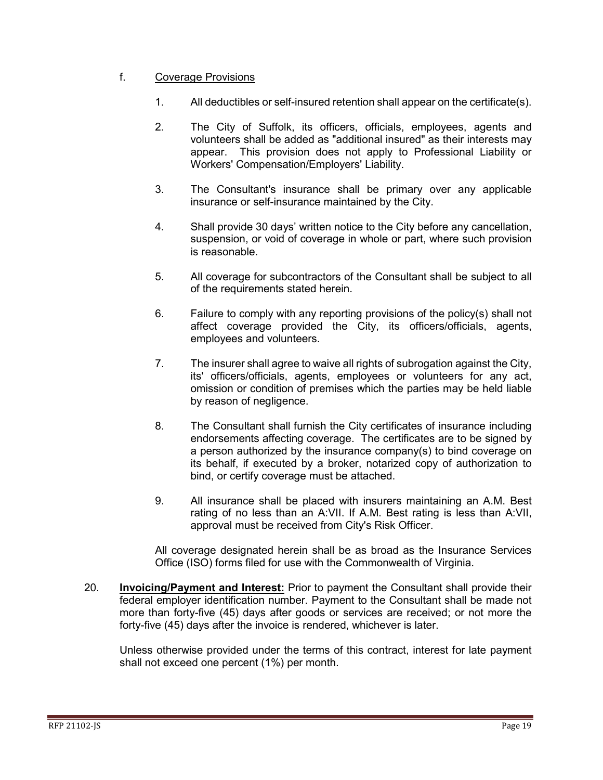#### f. Coverage Provisions

- 1. All deductibles or self-insured retention shall appear on the certificate(s).
- 2. The City of Suffolk, its officers, officials, employees, agents and volunteers shall be added as "additional insured" as their interests may appear. This provision does not apply to Professional Liability or Workers' Compensation/Employers' Liability.
- 3. The Consultant's insurance shall be primary over any applicable insurance or self-insurance maintained by the City.
- 4. Shall provide 30 days' written notice to the City before any cancellation, suspension, or void of coverage in whole or part, where such provision is reasonable.
- 5. All coverage for subcontractors of the Consultant shall be subject to all of the requirements stated herein.
- 6. Failure to comply with any reporting provisions of the policy(s) shall not affect coverage provided the City, its officers/officials, agents, employees and volunteers.
- 7. The insurer shall agree to waive all rights of subrogation against the City, its' officers/officials, agents, employees or volunteers for any act, omission or condition of premises which the parties may be held liable by reason of negligence.
- 8. The Consultant shall furnish the City certificates of insurance including endorsements affecting coverage. The certificates are to be signed by a person authorized by the insurance company(s) to bind coverage on its behalf, if executed by a broker, notarized copy of authorization to bind, or certify coverage must be attached.
- 9. All insurance shall be placed with insurers maintaining an A.M. Best rating of no less than an A:VII. If A.M. Best rating is less than A:VII, approval must be received from City's Risk Officer.

All coverage designated herein shall be as broad as the Insurance Services Office (ISO) forms filed for use with the Commonwealth of Virginia.

20. **Invoicing/Payment and Interest:** Prior to payment the Consultant shall provide their federal employer identification number. Payment to the Consultant shall be made not more than forty-five (45) days after goods or services are received; or not more the forty-five (45) days after the invoice is rendered, whichever is later.

Unless otherwise provided under the terms of this contract, interest for late payment shall not exceed one percent (1%) per month.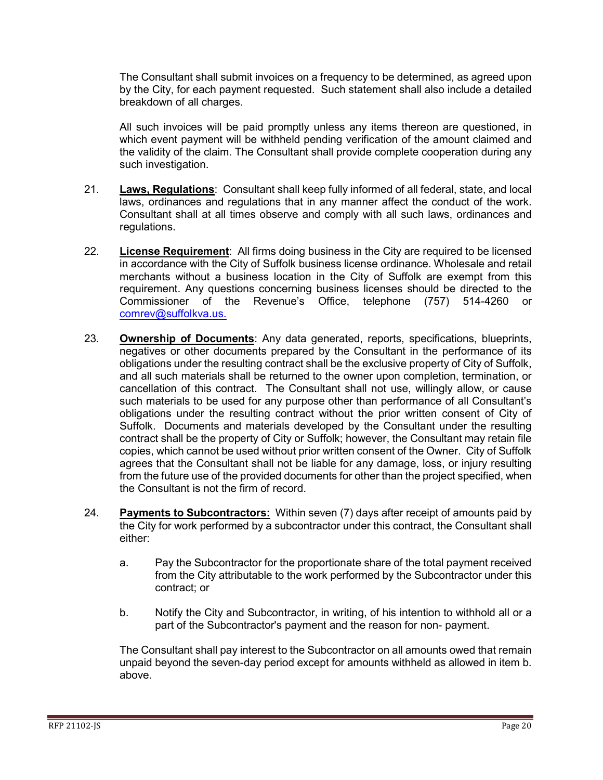The Consultant shall submit invoices on a frequency to be determined, as agreed upon by the City, for each payment requested. Such statement shall also include a detailed breakdown of all charges.

All such invoices will be paid promptly unless any items thereon are questioned, in which event payment will be withheld pending verification of the amount claimed and the validity of the claim. The Consultant shall provide complete cooperation during any such investigation.

- 21. **Laws, Regulations**: Consultant shall keep fully informed of all federal, state, and local laws, ordinances and regulations that in any manner affect the conduct of the work. Consultant shall at all times observe and comply with all such laws, ordinances and regulations.
- 22. **License Requirement**: All firms doing business in the City are required to be licensed in accordance with the City of Suffolk business license ordinance. Wholesale and retail merchants without a business location in the City of Suffolk are exempt from this requirement. Any questions concerning business licenses should be directed to the Commissioner of the Revenue's Office, telephone (757) 514-4260 or [comrev@suffolkva.us.](mailto:comrev@suffolkva.us)
- 23. **Ownership of Documents**: Any data generated, reports, specifications, blueprints, negatives or other documents prepared by the Consultant in the performance of its obligations under the resulting contract shall be the exclusive property of City of Suffolk, and all such materials shall be returned to the owner upon completion, termination, or cancellation of this contract. The Consultant shall not use, willingly allow, or cause such materials to be used for any purpose other than performance of all Consultant's obligations under the resulting contract without the prior written consent of City of Suffolk. Documents and materials developed by the Consultant under the resulting contract shall be the property of City or Suffolk; however, the Consultant may retain file copies, which cannot be used without prior written consent of the Owner. City of Suffolk agrees that the Consultant shall not be liable for any damage, loss, or injury resulting from the future use of the provided documents for other than the project specified, when the Consultant is not the firm of record.
- 24. **Payments to Subcontractors:** Within seven (7) days after receipt of amounts paid by the City for work performed by a subcontractor under this contract, the Consultant shall either:
	- a. Pay the Subcontractor for the proportionate share of the total payment received from the City attributable to the work performed by the Subcontractor under this contract; or
	- b. Notify the City and Subcontractor, in writing, of his intention to withhold all or a part of the Subcontractor's payment and the reason for non- payment.

The Consultant shall pay interest to the Subcontractor on all amounts owed that remain unpaid beyond the seven-day period except for amounts withheld as allowed in item b. above.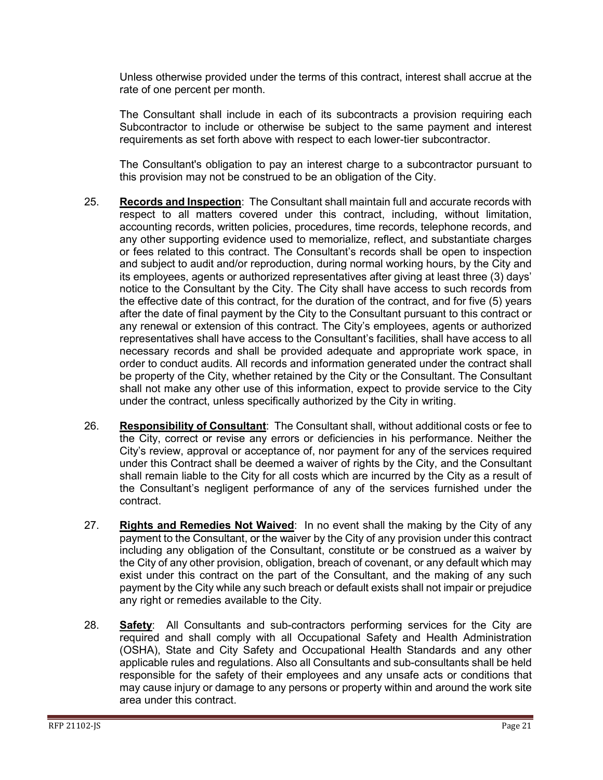Unless otherwise provided under the terms of this contract, interest shall accrue at the rate of one percent per month.

The Consultant shall include in each of its subcontracts a provision requiring each Subcontractor to include or otherwise be subject to the same payment and interest requirements as set forth above with respect to each lower-tier subcontractor.

The Consultant's obligation to pay an interest charge to a subcontractor pursuant to this provision may not be construed to be an obligation of the City.

- 25. **Records and Inspection**: The Consultant shall maintain full and accurate records with respect to all matters covered under this contract, including, without limitation, accounting records, written policies, procedures, time records, telephone records, and any other supporting evidence used to memorialize, reflect, and substantiate charges or fees related to this contract. The Consultant's records shall be open to inspection and subject to audit and/or reproduction, during normal working hours, by the City and its employees, agents or authorized representatives after giving at least three (3) days' notice to the Consultant by the City. The City shall have access to such records from the effective date of this contract, for the duration of the contract, and for five (5) years after the date of final payment by the City to the Consultant pursuant to this contract or any renewal or extension of this contract. The City's employees, agents or authorized representatives shall have access to the Consultant's facilities, shall have access to all necessary records and shall be provided adequate and appropriate work space, in order to conduct audits. All records and information generated under the contract shall be property of the City, whether retained by the City or the Consultant. The Consultant shall not make any other use of this information, expect to provide service to the City under the contract, unless specifically authorized by the City in writing.
- 26. **Responsibility of Consultant**: The Consultant shall, without additional costs or fee to the City, correct or revise any errors or deficiencies in his performance. Neither the City's review, approval or acceptance of, nor payment for any of the services required under this Contract shall be deemed a waiver of rights by the City, and the Consultant shall remain liable to the City for all costs which are incurred by the City as a result of the Consultant's negligent performance of any of the services furnished under the contract.
- 27. **Rights and Remedies Not Waived**: In no event shall the making by the City of any payment to the Consultant, or the waiver by the City of any provision under this contract including any obligation of the Consultant, constitute or be construed as a waiver by the City of any other provision, obligation, breach of covenant, or any default which may exist under this contract on the part of the Consultant, and the making of any such payment by the City while any such breach or default exists shall not impair or prejudice any right or remedies available to the City.
- 28. **Safety**: All Consultants and sub-contractors performing services for the City are required and shall comply with all Occupational Safety and Health Administration (OSHA), State and City Safety and Occupational Health Standards and any other applicable rules and regulations. Also all Consultants and sub-consultants shall be held responsible for the safety of their employees and any unsafe acts or conditions that may cause injury or damage to any persons or property within and around the work site area under this contract.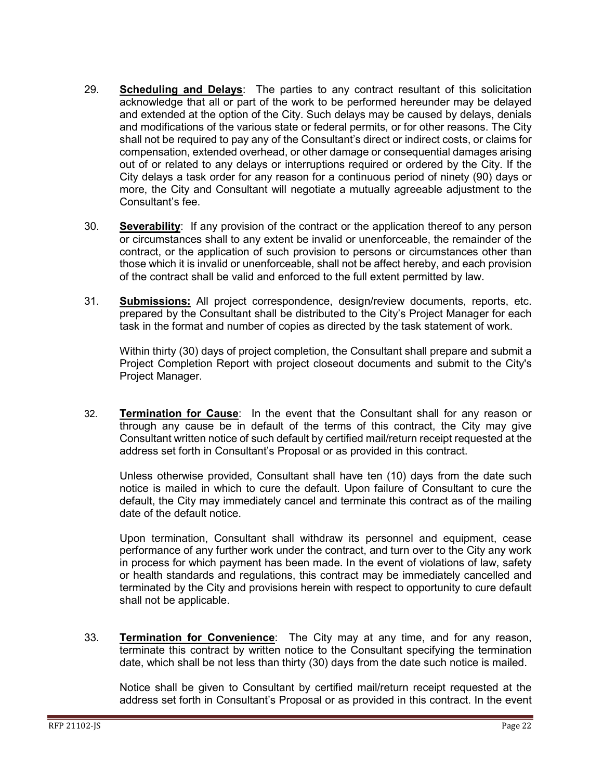- 29. **Scheduling and Delays**: The parties to any contract resultant of this solicitation acknowledge that all or part of the work to be performed hereunder may be delayed and extended at the option of the City. Such delays may be caused by delays, denials and modifications of the various state or federal permits, or for other reasons. The City shall not be required to pay any of the Consultant's direct or indirect costs, or claims for compensation, extended overhead, or other damage or consequential damages arising out of or related to any delays or interruptions required or ordered by the City. If the City delays a task order for any reason for a continuous period of ninety (90) days or more, the City and Consultant will negotiate a mutually agreeable adjustment to the Consultant's fee.
- 30. **Severability**: If any provision of the contract or the application thereof to any person or circumstances shall to any extent be invalid or unenforceable, the remainder of the contract, or the application of such provision to persons or circumstances other than those which it is invalid or unenforceable, shall not be affect hereby, and each provision of the contract shall be valid and enforced to the full extent permitted by law.
- 31. **Submissions:** All project correspondence, design/review documents, reports, etc. prepared by the Consultant shall be distributed to the City's Project Manager for each task in the format and number of copies as directed by the task statement of work.

Within thirty (30) days of project completion, the Consultant shall prepare and submit a Project Completion Report with project closeout documents and submit to the City's Project Manager.

32. **Termination for Cause**: In the event that the Consultant shall for any reason or through any cause be in default of the terms of this contract, the City may give Consultant written notice of such default by certified mail/return receipt requested at the address set forth in Consultant's Proposal or as provided in this contract.

Unless otherwise provided, Consultant shall have ten (10) days from the date such notice is mailed in which to cure the default. Upon failure of Consultant to cure the default, the City may immediately cancel and terminate this contract as of the mailing date of the default notice.

Upon termination, Consultant shall withdraw its personnel and equipment, cease performance of any further work under the contract, and turn over to the City any work in process for which payment has been made. In the event of violations of law, safety or health standards and regulations, this contract may be immediately cancelled and terminated by the City and provisions herein with respect to opportunity to cure default shall not be applicable.

33. **Termination for Convenience**: The City may at any time, and for any reason, terminate this contract by written notice to the Consultant specifying the termination date, which shall be not less than thirty (30) days from the date such notice is mailed.

Notice shall be given to Consultant by certified mail/return receipt requested at the address set forth in Consultant's Proposal or as provided in this contract. In the event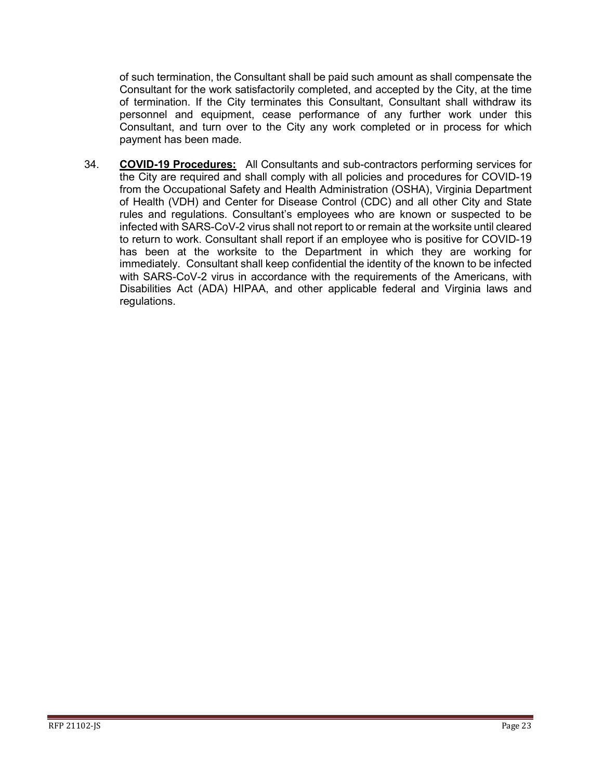of such termination, the Consultant shall be paid such amount as shall compensate the Consultant for the work satisfactorily completed, and accepted by the City, at the time of termination. If the City terminates this Consultant, Consultant shall withdraw its personnel and equipment, cease performance of any further work under this Consultant, and turn over to the City any work completed or in process for which payment has been made.

34. **COVID-19 Procedures:** All Consultants and sub-contractors performing services for the City are required and shall comply with all policies and procedures for COVID-19 from the Occupational Safety and Health Administration (OSHA), Virginia Department of Health (VDH) and Center for Disease Control (CDC) and all other City and State rules and regulations. Consultant's employees who are known or suspected to be infected with SARS-CoV-2 virus shall not report to or remain at the worksite until cleared to return to work. Consultant shall report if an employee who is positive for COVID-19 has been at the worksite to the Department in which they are working for immediately. Consultant shall keep confidential the identity of the known to be infected with SARS-CoV-2 virus in accordance with the requirements of the Americans, with Disabilities Act (ADA) HIPAA, and other applicable federal and Virginia laws and regulations.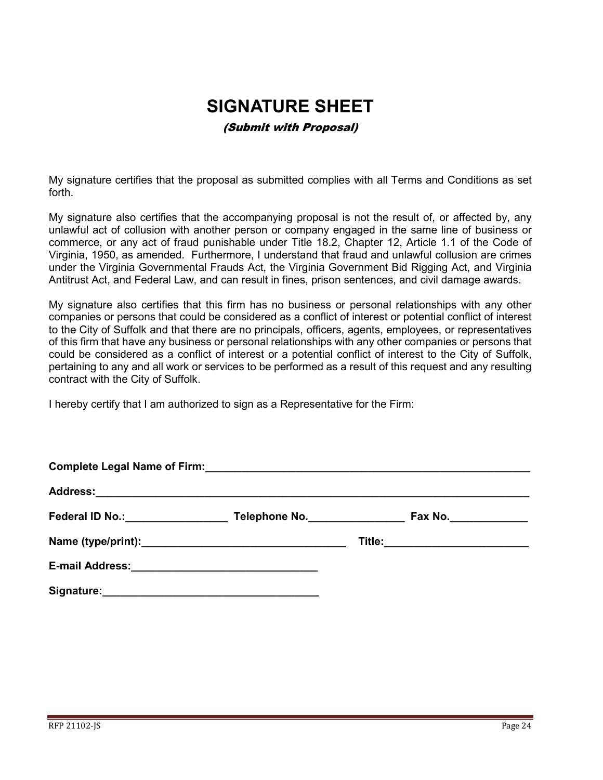## **SIGNATURE SHEET**

#### (Submit with Proposal)

<span id="page-23-0"></span>My signature certifies that the proposal as submitted complies with all Terms and Conditions as set forth.

My signature also certifies that the accompanying proposal is not the result of, or affected by, any unlawful act of collusion with another person or company engaged in the same line of business or commerce, or any act of fraud punishable under Title 18.2, Chapter 12, Article 1.1 of the Code of Virginia, 1950, as amended. Furthermore, I understand that fraud and unlawful collusion are crimes under the Virginia Governmental Frauds Act, the Virginia Government Bid Rigging Act, and Virginia Antitrust Act, and Federal Law, and can result in fines, prison sentences, and civil damage awards.

My signature also certifies that this firm has no business or personal relationships with any other companies or persons that could be considered as a conflict of interest or potential conflict of interest to the City of Suffolk and that there are no principals, officers, agents, employees, or representatives of this firm that have any business or personal relationships with any other companies or persons that could be considered as a conflict of interest or a potential conflict of interest to the City of Suffolk, pertaining to any and all work or services to be performed as a result of this request and any resulting contract with the City of Suffolk.

I hereby certify that I am authorized to sign as a Representative for the Firm:

|                                                       | Complete Legal Name of Firm:<br><u>Complete Legal Name of Firm:</u> |                                 |  |
|-------------------------------------------------------|---------------------------------------------------------------------|---------------------------------|--|
|                                                       |                                                                     |                                 |  |
| Federal ID No.: Management Control of Tederal ID No.: | Telephone No.                                                       | Fax No._______________          |  |
|                                                       |                                                                     | Title:_________________________ |  |
|                                                       |                                                                     |                                 |  |
| Signature:                                            |                                                                     |                                 |  |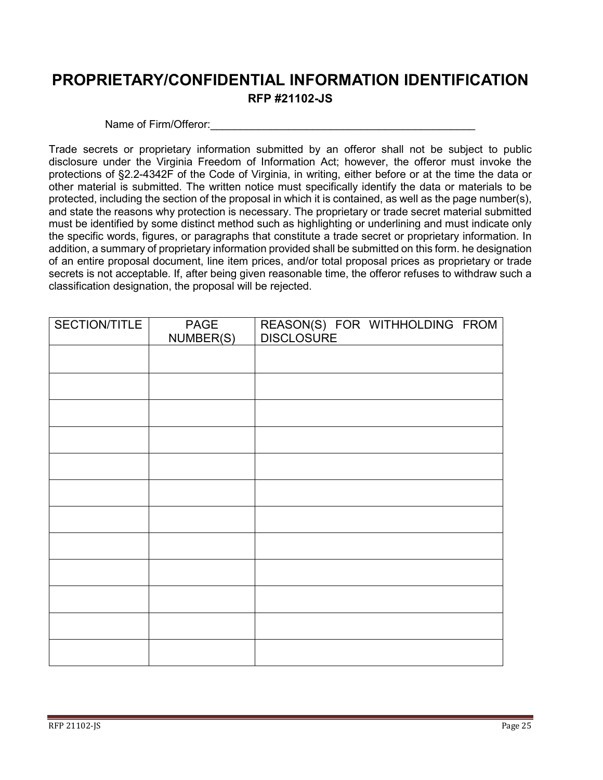## <span id="page-24-0"></span>**PROPRIETARY/CONFIDENTIAL INFORMATION IDENTIFICATION RFP #21102-JS**

#### Name of Firm/Offeror:

Trade secrets or proprietary information submitted by an offeror shall not be subject to public disclosure under the Virginia Freedom of Information Act; however, the offeror must invoke the protections of §2.2-4342F of the Code of Virginia, in writing, either before or at the time the data or other material is submitted. The written notice must specifically identify the data or materials to be protected, including the section of the proposal in which it is contained, as well as the page number(s), and state the reasons why protection is necessary. The proprietary or trade secret material submitted must be identified by some distinct method such as highlighting or underlining and must indicate only the specific words, figures, or paragraphs that constitute a trade secret or proprietary information. In addition, a summary of proprietary information provided shall be submitted on this form. he designation of an entire proposal document, line item prices, and/or total proposal prices as proprietary or trade secrets is not acceptable. If, after being given reasonable time, the offeror refuses to withdraw such a classification designation, the proposal will be rejected.

| SECTION/TITLE | PAGE<br>NUMBER(S) | REASON(S) FOR WITHHOLDING FROM |  |
|---------------|-------------------|--------------------------------|--|
|               |                   |                                |  |
|               |                   |                                |  |
|               |                   |                                |  |
|               |                   |                                |  |
|               |                   |                                |  |
|               |                   |                                |  |
|               |                   |                                |  |
|               |                   |                                |  |
|               |                   |                                |  |
|               |                   |                                |  |
|               |                   |                                |  |
|               |                   |                                |  |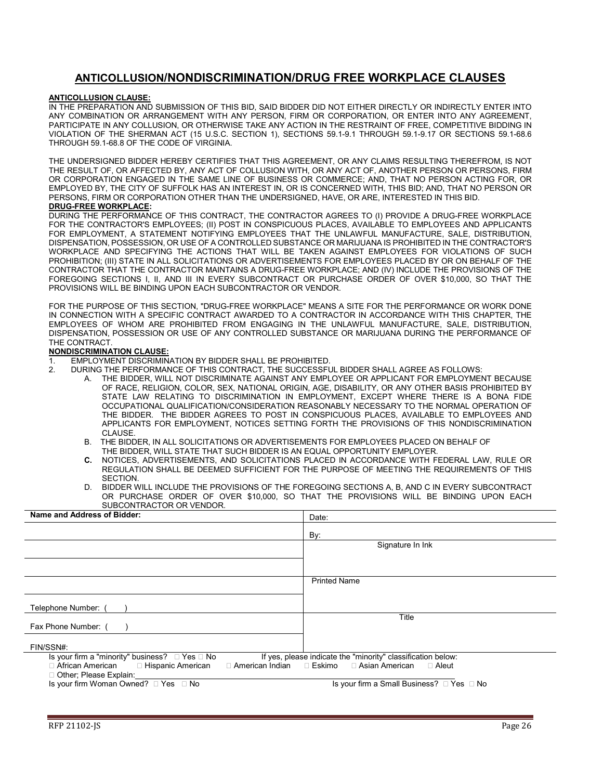#### **ANTICOLLUSION/NONDISCRIMINATION/DRUG FREE WORKPLACE CLAUSES**

#### <span id="page-25-0"></span>**ANTICOLLUSION CLAUSE:**

IN THE PREPARATION AND SUBMISSION OF THIS BID, SAID BIDDER DID NOT EITHER DIRECTLY OR INDIRECTLY ENTER INTO ANY COMBINATION OR ARRANGEMENT WITH ANY PERSON, FIRM OR CORPORATION, OR ENTER INTO ANY AGREEMENT, PARTICIPATE IN ANY COLLUSION, OR OTHERWISE TAKE ANY ACTION IN THE RESTRAINT OF FREE, COMPETITIVE BIDDING IN VIOLATION OF THE SHERMAN ACT (15 U.S.C. SECTION 1), SECTIONS 59.1-9.1 THROUGH 59.1-9.17 OR SECTIONS 59.1-68.6 THROUGH 59.1-68.8 OF THE CODE OF VIRGINIA.

THE UNDERSIGNED BIDDER HEREBY CERTIFIES THAT THIS AGREEMENT, OR ANY CLAIMS RESULTING THEREFROM, IS NOT THE RESULT OF, OR AFFECTED BY, ANY ACT OF COLLUSION WITH, OR ANY ACT OF, ANOTHER PERSON OR PERSONS, FIRM OR CORPORATION ENGAGED IN THE SAME LINE OF BUSINESS OR COMMERCE; AND, THAT NO PERSON ACTING FOR, OR EMPLOYED BY, THE CITY OF SUFFOLK HAS AN INTEREST IN, OR IS CONCERNED WITH, THIS BID; AND, THAT NO PERSON OR PERSONS, FIRM OR CORPORATION OTHER THAN THE UNDERSIGNED, HAVE, OR ARE, INTERESTED IN THIS BID.

#### **DRUG-FREE WORKPLACE:**

DURING THE PERFORMANCE OF THIS CONTRACT, THE CONTRACTOR AGREES TO (I) PROVIDE A DRUG-FREE WORKPLACE FOR THE CONTRACTOR'S EMPLOYEES; (II) POST IN CONSPICUOUS PLACES, AVAILABLE TO EMPLOYEES AND APPLICANTS FOR EMPLOYMENT, A STATEMENT NOTIFYING EMPLOYEES THAT THE UNLAWFUL MANUFACTURE, SALE, DISTRIBUTION, DISPENSATION, POSSESSION, OR USE OF A CONTROLLED SUBSTANCE OR MARIJUANA IS PROHIBITED IN THE CONTRACTOR'S WORKPLACE AND SPECIFYING THE ACTIONS THAT WILL BE TAKEN AGAINST EMPLOYEES FOR VIOLATIONS OF SUCH PROHIBITION; (III) STATE IN ALL SOLICITATIONS OR ADVERTISEMENTS FOR EMPLOYEES PLACED BY OR ON BEHALF OF THE CONTRACTOR THAT THE CONTRACTOR MAINTAINS A DRUG-FREE WORKPLACE; AND (IV) INCLUDE THE PROVISIONS OF THE FOREGOING SECTIONS I, II, AND III IN EVERY SUBCONTRACT OR PURCHASE ORDER OF OVER \$10,000, SO THAT THE PROVISIONS WILL BE BINDING UPON EACH SUBCONTRACTOR OR VENDOR.

FOR THE PURPOSE OF THIS SECTION, "DRUG-FREE WORKPLACE" MEANS A SITE FOR THE PERFORMANCE OR WORK DONE IN CONNECTION WITH A SPECIFIC CONTRACT AWARDED TO A CONTRACTOR IN ACCORDANCE WITH THIS CHAPTER, THE EMPLOYEES OF WHOM ARE PROHIBITED FROM ENGAGING IN THE UNLAWFUL MANUFACTURE, SALE, DISTRIBUTION, DISPENSATION, POSSESSION OR USE OF ANY CONTROLLED SUBSTANCE OR MARIJUANA DURING THE PERFORMANCE OF THE CONTRACT.

#### **NONDISCRIMINATION CLAUSE:**

- 1. EMPLOYMENT DISCRIMINATION BY BIDDER SHALL BE PROHIBITED.<br>2. DURING THE PERFORMANCE OF THIS CONTRACT. THE SUCCESSEL
	- 2. DURING THE PERFORMANCE OF THIS CONTRACT, THE SUCCESSFUL BIDDER SHALL AGREE AS FOLLOWS:
		- A. THE BIDDER, WILL NOT DISCRIMINATE AGAINST ANY EMPLOYEE OR APPLICANT FOR EMPLOYMENT BECAUSE OF RACE, RELIGION, COLOR, SEX, NATIONAL ORIGIN, AGE, DISABILITY, OR ANY OTHER BASIS PROHIBITED BY STATE LAW RELATING TO DISCRIMINATION IN EMPLOYMENT, EXCEPT WHERE THERE IS A BONA FIDE OCCUPATIONAL QUALIFICATION/CONSIDERATION REASONABLY NECESSARY TO THE NORMAL OPERATION OF THE BIDDER. THE BIDDER AGREES TO POST IN CONSPICUOUS PLACES, AVAILABLE TO EMPLOYEES AND APPLICANTS FOR EMPLOYMENT, NOTICES SETTING FORTH THE PROVISIONS OF THIS NONDISCRIMINATION CLAUSE.
		- B. THE BIDDER, IN ALL SOLICITATIONS OR ADVERTISEMENTS FOR EMPLOYEES PLACED ON BEHALF OF THE BIDDER, WILL STATE THAT SUCH BIDDER IS AN EQUAL OPPORTUNITY EMPLOYER.<br>C. NOTICES ADVERTISEMENTS AND SOLICITATIONS PLACED IN ACCORDANCE WITH E
		- **C.** NOTICES, ADVERTISEMENTS, AND SOLICITATIONS PLACED IN ACCORDANCE WITH FEDERAL LAW, RULE OR REGULATION SHALL BE DEEMED SUFFICIENT FOR THE PURPOSE OF MEETING THE REQUIREMENTS OF THIS SECTION.
		- D. BIDDER WILL INCLUDE THE PROVISIONS OF THE FOREGOING SECTIONS A, B, AND C IN EVERY SUBCONTRACT OR PURCHASE ORDER OF OVER \$10,000, SO THAT THE PROVISIONS WILL BE BINDING UPON EACH SUBCONTRACTOR OR VENDOR.